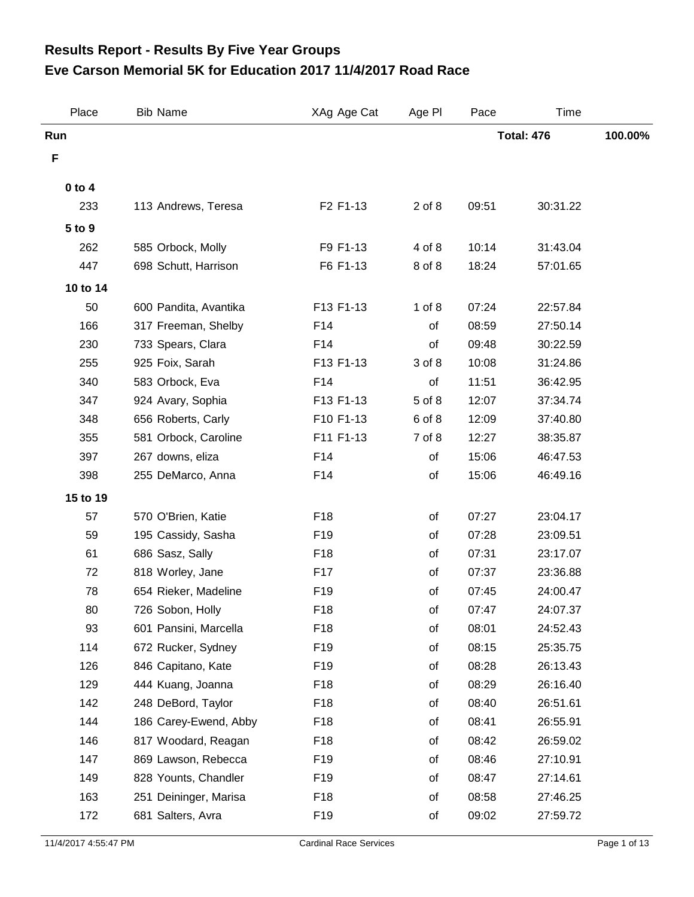## **Eve Carson Memorial 5K for Education 2017 11/4/2017 Road Race Results Report - Results By Five Year Groups**

| Place      | <b>Bib Name</b>       | XAg Age Cat     | Age PI     | Pace              | Time     |         |
|------------|-----------------------|-----------------|------------|-------------------|----------|---------|
| Run        |                       |                 |            | <b>Total: 476</b> |          | 100.00% |
| F          |                       |                 |            |                   |          |         |
| $0$ to $4$ |                       |                 |            |                   |          |         |
| 233        | 113 Andrews, Teresa   | F2 F1-13        | $2$ of $8$ | 09:51             | 30:31.22 |         |
| 5 to 9     |                       |                 |            |                   |          |         |
| 262        | 585 Orbock, Molly     | F9 F1-13        | 4 of 8     | 10:14             | 31:43.04 |         |
| 447        | 698 Schutt, Harrison  | F6 F1-13        | 8 of 8     | 18:24             | 57:01.65 |         |
| 10 to 14   |                       |                 |            |                   |          |         |
| 50         | 600 Pandita, Avantika | F13 F1-13       | $1$ of $8$ | 07:24             | 22:57.84 |         |
| 166        | 317 Freeman, Shelby   | F14             | of         | 08:59             | 27:50.14 |         |
| 230        | 733 Spears, Clara     | F14             | of         | 09:48             | 30:22.59 |         |
| 255        | 925 Foix, Sarah       | F13 F1-13       | 3 of 8     | 10:08             | 31:24.86 |         |
| 340        | 583 Orbock, Eva       | F14             | of         | 11:51             | 36:42.95 |         |
| 347        | 924 Avary, Sophia     | F13 F1-13       | 5 of 8     | 12:07             | 37:34.74 |         |
| 348        | 656 Roberts, Carly    | F10 F1-13       | 6 of 8     | 12:09             | 37:40.80 |         |
| 355        | 581 Orbock, Caroline  | F11 F1-13       | 7 of 8     | 12:27             | 38:35.87 |         |
| 397        | 267 downs, eliza      | F14             | of         | 15:06             | 46:47.53 |         |
| 398        | 255 DeMarco, Anna     | F14             | of         | 15:06             | 46:49.16 |         |
| 15 to 19   |                       |                 |            |                   |          |         |
| 57         | 570 O'Brien, Katie    | F18             | of         | 07:27             | 23:04.17 |         |
| 59         | 195 Cassidy, Sasha    | F19             | of         | 07:28             | 23:09.51 |         |
| 61         | 686 Sasz, Sally       | F18             | of         | 07:31             | 23:17.07 |         |
| 72         | 818 Worley, Jane      | F17             | of         | 07:37             | 23:36.88 |         |
| 78         | 654 Rieker, Madeline  | F19             | of         | 07:45             | 24:00.47 |         |
| 80         | 726 Sobon, Holly      | F18             | of         | 07:47             | 24:07.37 |         |
| 93         | 601 Pansini, Marcella | F <sub>18</sub> | of         | 08:01             | 24:52.43 |         |
| 114        | 672 Rucker, Sydney    | F19             | of         | 08:15             | 25:35.75 |         |
| 126        | 846 Capitano, Kate    | F <sub>19</sub> | of         | 08:28             | 26:13.43 |         |
| 129        | 444 Kuang, Joanna     | F18             | of         | 08:29             | 26:16.40 |         |
| 142        | 248 DeBord, Taylor    | F18             | of         | 08:40             | 26:51.61 |         |
| 144        | 186 Carey-Ewend, Abby | F18             | of         | 08:41             | 26:55.91 |         |
| 146        | 817 Woodard, Reagan   | F18             | of         | 08:42             | 26:59.02 |         |
| 147        | 869 Lawson, Rebecca   | F <sub>19</sub> | of         | 08:46             | 27:10.91 |         |
| 149        | 828 Younts, Chandler  | F19             | of         | 08:47             | 27:14.61 |         |
| 163        | 251 Deininger, Marisa | F18             | of         | 08:58             | 27:46.25 |         |
| 172        | 681 Salters, Avra     | F19             | of         | 09:02             | 27:59.72 |         |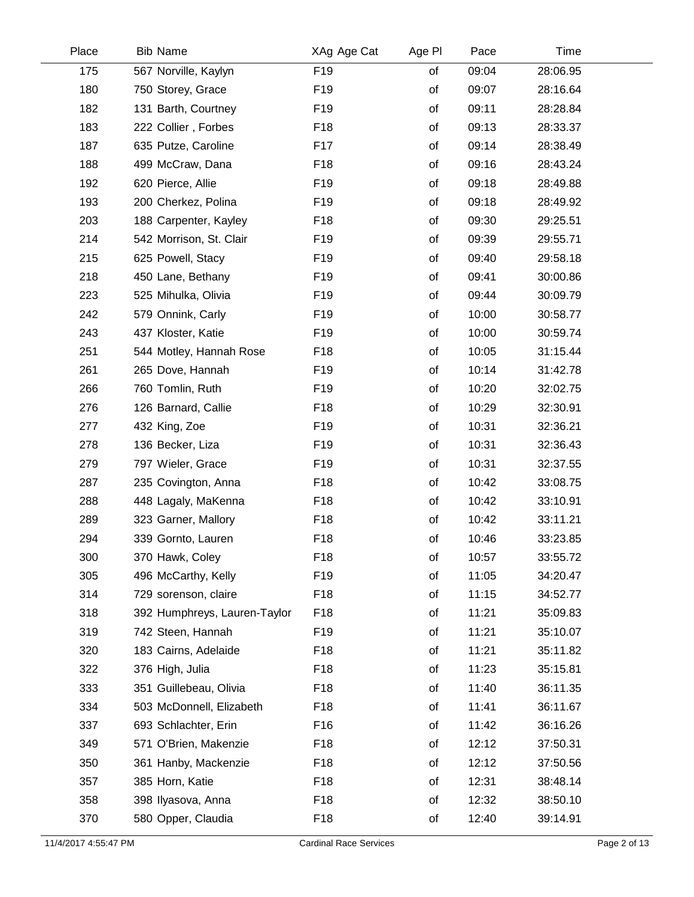| Place | <b>Bib Name</b>              | XAg Age Cat     | Age PI | Pace  | Time     |  |
|-------|------------------------------|-----------------|--------|-------|----------|--|
| 175   | 567 Norville, Kaylyn         | F <sub>19</sub> | of     | 09:04 | 28:06.95 |  |
| 180   | 750 Storey, Grace            | F <sub>19</sub> | of     | 09:07 | 28:16.64 |  |
| 182   | 131 Barth, Courtney          | F <sub>19</sub> | of     | 09:11 | 28:28.84 |  |
| 183   | 222 Collier, Forbes          | F <sub>18</sub> | of     | 09:13 | 28:33.37 |  |
| 187   | 635 Putze, Caroline          | F17             | of     | 09:14 | 28:38.49 |  |
| 188   | 499 McCraw, Dana             | F <sub>18</sub> | of     | 09:16 | 28:43.24 |  |
| 192   | 620 Pierce, Allie            | F <sub>19</sub> | of     | 09:18 | 28:49.88 |  |
| 193   | 200 Cherkez, Polina          | F <sub>19</sub> | of     | 09:18 | 28:49.92 |  |
| 203   | 188 Carpenter, Kayley        | F <sub>18</sub> | of     | 09:30 | 29:25.51 |  |
| 214   | 542 Morrison, St. Clair      | F <sub>19</sub> | of     | 09:39 | 29:55.71 |  |
| 215   | 625 Powell, Stacy            | F <sub>19</sub> | of     | 09:40 | 29:58.18 |  |
| 218   | 450 Lane, Bethany            | F <sub>19</sub> | of     | 09:41 | 30:00.86 |  |
| 223   | 525 Mihulka, Olivia          | F <sub>19</sub> | of     | 09:44 | 30:09.79 |  |
| 242   | 579 Onnink, Carly            | F <sub>19</sub> | of     | 10:00 | 30:58.77 |  |
| 243   | 437 Kloster, Katie           | F <sub>19</sub> | of     | 10:00 | 30:59.74 |  |
| 251   | 544 Motley, Hannah Rose      | F <sub>18</sub> | of     | 10:05 | 31:15.44 |  |
| 261   | 265 Dove, Hannah             | F <sub>19</sub> | of     | 10:14 | 31:42.78 |  |
| 266   | 760 Tomlin, Ruth             | F <sub>19</sub> | of     | 10:20 | 32:02.75 |  |
| 276   | 126 Barnard, Callie          | F <sub>18</sub> | of     | 10:29 | 32:30.91 |  |
| 277   | 432 King, Zoe                | F <sub>19</sub> | of     | 10:31 | 32:36.21 |  |
| 278   | 136 Becker, Liza             | F <sub>19</sub> | of     | 10:31 | 32:36.43 |  |
| 279   | 797 Wieler, Grace            | F <sub>19</sub> | of     | 10:31 | 32:37.55 |  |
| 287   | 235 Covington, Anna          | F <sub>18</sub> | of     | 10:42 | 33:08.75 |  |
| 288   | 448 Lagaly, MaKenna          | F <sub>18</sub> | of     | 10:42 | 33:10.91 |  |
| 289   | 323 Garner, Mallory          | F <sub>18</sub> | of     | 10:42 | 33:11.21 |  |
| 294   | 339 Gornto, Lauren           | F <sub>18</sub> | of     | 10:46 | 33:23.85 |  |
| 300   | 370 Hawk, Coley              | F18             | of     | 10:57 | 33:55.72 |  |
| 305   | 496 McCarthy, Kelly          | F19             | of     | 11:05 | 34:20.47 |  |
| 314   | 729 sorenson, claire         | F <sub>18</sub> | of     | 11:15 | 34:52.77 |  |
| 318   | 392 Humphreys, Lauren-Taylor | F <sub>18</sub> | of     | 11:21 | 35:09.83 |  |
| 319   | 742 Steen, Hannah            | F <sub>19</sub> | of     | 11:21 | 35:10.07 |  |
| 320   | 183 Cairns, Adelaide         | F18             | of     | 11:21 | 35:11.82 |  |
| 322   | 376 High, Julia              | F <sub>18</sub> | of     | 11:23 | 35:15.81 |  |
| 333   | 351 Guillebeau, Olivia       | F <sub>18</sub> | of     | 11:40 | 36:11.35 |  |
| 334   | 503 McDonnell, Elizabeth     | F <sub>18</sub> | of     | 11:41 | 36:11.67 |  |
| 337   | 693 Schlachter, Erin         | F16             | of     | 11:42 | 36:16.26 |  |
| 349   | 571 O'Brien, Makenzie        | F <sub>18</sub> | of     | 12:12 | 37:50.31 |  |
| 350   | 361 Hanby, Mackenzie         | F <sub>18</sub> | of     | 12:12 | 37:50.56 |  |
| 357   | 385 Horn, Katie              | F <sub>18</sub> | of     | 12:31 | 38:48.14 |  |
| 358   | 398 Ilyasova, Anna           | F <sub>18</sub> | of     | 12:32 | 38:50.10 |  |
| 370   | 580 Opper, Claudia           | F <sub>18</sub> | of     | 12:40 | 39:14.91 |  |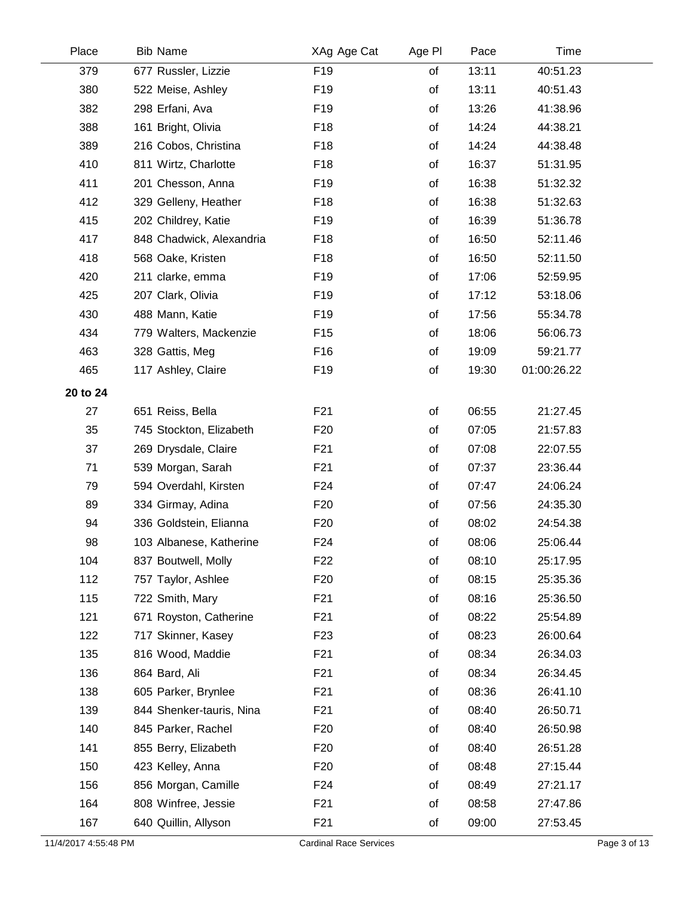| Place    | <b>Bib Name</b>          | XAg Age Cat     | Age PI | Pace  | Time        |  |
|----------|--------------------------|-----------------|--------|-------|-------------|--|
| 379      | 677 Russler, Lizzie      | F <sub>19</sub> | of     | 13:11 | 40:51.23    |  |
| 380      | 522 Meise, Ashley        | F <sub>19</sub> | of     | 13:11 | 40:51.43    |  |
| 382      | 298 Erfani, Ava          | F <sub>19</sub> | of     | 13:26 | 41:38.96    |  |
| 388      | 161 Bright, Olivia       | F18             | of     | 14:24 | 44:38.21    |  |
| 389      | 216 Cobos, Christina     | F <sub>18</sub> | of     | 14:24 | 44:38.48    |  |
| 410      | 811 Wirtz, Charlotte     | F <sub>18</sub> | of     | 16:37 | 51:31.95    |  |
| 411      | 201 Chesson, Anna        | F <sub>19</sub> | of     | 16:38 | 51:32.32    |  |
| 412      | 329 Gelleny, Heather     | F <sub>18</sub> | of     | 16:38 | 51:32.63    |  |
| 415      | 202 Childrey, Katie      | F <sub>19</sub> | of     | 16:39 | 51:36.78    |  |
| 417      | 848 Chadwick, Alexandria | F18             | of     | 16:50 | 52:11.46    |  |
| 418      | 568 Oake, Kristen        | F <sub>18</sub> | of     | 16:50 | 52:11.50    |  |
| 420      | 211 clarke, emma         | F <sub>19</sub> | of     | 17:06 | 52:59.95    |  |
| 425      | 207 Clark, Olivia        | F <sub>19</sub> | of     | 17:12 | 53:18.06    |  |
| 430      | 488 Mann, Katie          | F <sub>19</sub> | of     | 17:56 | 55:34.78    |  |
| 434      | 779 Walters, Mackenzie   | F <sub>15</sub> | of     | 18:06 | 56:06.73    |  |
| 463      | 328 Gattis, Meg          | F16             | of     | 19:09 | 59:21.77    |  |
| 465      | 117 Ashley, Claire       | F <sub>19</sub> | of     | 19:30 | 01:00:26.22 |  |
| 20 to 24 |                          |                 |        |       |             |  |
| 27       | 651 Reiss, Bella         | F21             | of     | 06:55 | 21:27.45    |  |
| 35       | 745 Stockton, Elizabeth  | F <sub>20</sub> | of     | 07:05 | 21:57.83    |  |
| 37       | 269 Drysdale, Claire     | F <sub>21</sub> | of     | 07:08 | 22:07.55    |  |
| 71       | 539 Morgan, Sarah        | F21             | of     | 07:37 | 23:36.44    |  |
| 79       | 594 Overdahl, Kirsten    | F <sub>24</sub> | of     | 07:47 | 24:06.24    |  |
| 89       | 334 Girmay, Adina        | F <sub>20</sub> | of     | 07:56 | 24:35.30    |  |
| 94       | 336 Goldstein, Elianna   | F <sub>20</sub> | of     | 08:02 | 24:54.38    |  |
| 98       | 103 Albanese, Katherine  | F <sub>24</sub> | of     | 08:06 | 25:06.44    |  |
| 104      | 837 Boutwell, Molly      | F <sub>22</sub> | of     | 08:10 | 25:17.95    |  |
| 112      | 757 Taylor, Ashlee       | F <sub>20</sub> | of     | 08:15 | 25:35.36    |  |
| 115      | 722 Smith, Mary          | F <sub>21</sub> | of     | 08:16 | 25:36.50    |  |
| 121      | 671 Royston, Catherine   | F <sub>21</sub> | of     | 08:22 | 25:54.89    |  |
| 122      | 717 Skinner, Kasey       | F <sub>23</sub> | of     | 08:23 | 26:00.64    |  |
| 135      | 816 Wood, Maddie         | F <sub>21</sub> | of     | 08:34 | 26:34.03    |  |
| 136      | 864 Bard, Ali            | F <sub>21</sub> | of     | 08:34 | 26:34.45    |  |
| 138      | 605 Parker, Brynlee      | F <sub>21</sub> | of     | 08:36 | 26:41.10    |  |
| 139      | 844 Shenker-tauris, Nina | F <sub>21</sub> | of     | 08:40 | 26:50.71    |  |
| 140      | 845 Parker, Rachel       | F <sub>20</sub> | of     | 08:40 | 26:50.98    |  |
| 141      | 855 Berry, Elizabeth     | F <sub>20</sub> | of     | 08:40 | 26:51.28    |  |
| 150      | 423 Kelley, Anna         | F <sub>20</sub> | of     | 08:48 | 27:15.44    |  |
| 156      | 856 Morgan, Camille      | F <sub>24</sub> | of     | 08:49 | 27:21.17    |  |
| 164      | 808 Winfree, Jessie      | F <sub>21</sub> | of     | 08:58 | 27:47.86    |  |
| 167      | 640 Quillin, Allyson     | F <sub>21</sub> | of     | 09:00 | 27:53.45    |  |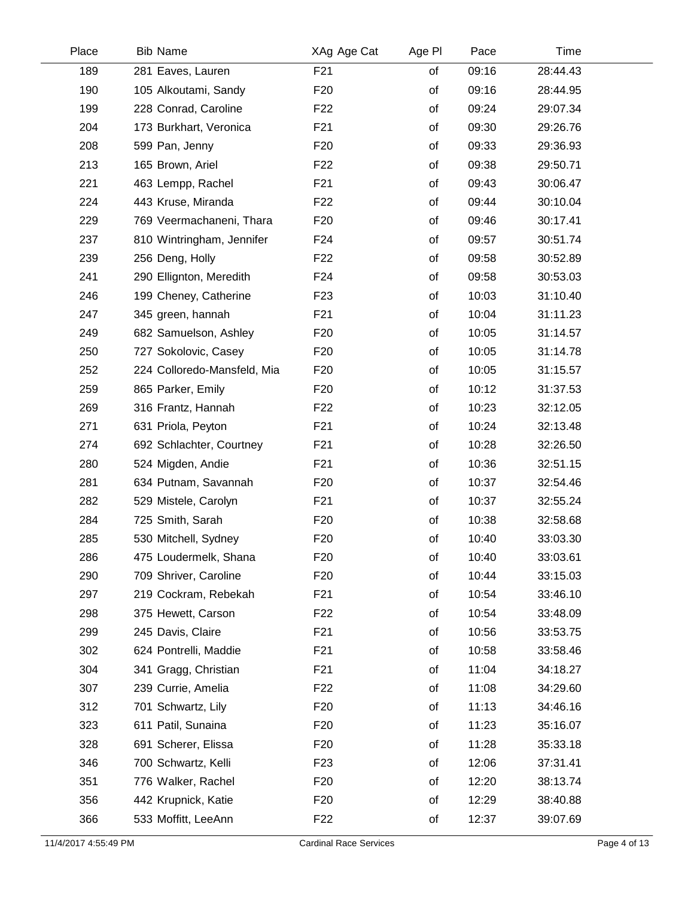| Place | <b>Bib Name</b>             | XAg Age Cat     | Age PI | Pace  | Time     |  |
|-------|-----------------------------|-----------------|--------|-------|----------|--|
| 189   | 281 Eaves, Lauren           | F <sub>21</sub> | of     | 09:16 | 28:44.43 |  |
| 190   | 105 Alkoutami, Sandy        | F <sub>20</sub> | of     | 09:16 | 28:44.95 |  |
| 199   | 228 Conrad, Caroline        | F <sub>22</sub> | of     | 09:24 | 29:07.34 |  |
| 204   | 173 Burkhart, Veronica      | F <sub>21</sub> | of     | 09:30 | 29:26.76 |  |
| 208   | 599 Pan, Jenny              | F <sub>20</sub> | of     | 09:33 | 29:36.93 |  |
| 213   | 165 Brown, Ariel            | F <sub>22</sub> | of     | 09:38 | 29:50.71 |  |
| 221   | 463 Lempp, Rachel           | F <sub>21</sub> | of     | 09:43 | 30:06.47 |  |
| 224   | 443 Kruse, Miranda          | F <sub>22</sub> | of     | 09:44 | 30:10.04 |  |
| 229   | 769 Veermachaneni, Thara    | F <sub>20</sub> | of     | 09:46 | 30:17.41 |  |
| 237   | 810 Wintringham, Jennifer   | F <sub>24</sub> | of     | 09:57 | 30:51.74 |  |
| 239   | 256 Deng, Holly             | F <sub>22</sub> | of     | 09:58 | 30:52.89 |  |
| 241   | 290 Ellignton, Meredith     | F <sub>24</sub> | of     | 09:58 | 30:53.03 |  |
| 246   | 199 Cheney, Catherine       | F <sub>23</sub> | of     | 10:03 | 31:10.40 |  |
| 247   | 345 green, hannah           | F <sub>21</sub> | of     | 10:04 | 31:11.23 |  |
| 249   | 682 Samuelson, Ashley       | F <sub>20</sub> | of     | 10:05 | 31:14.57 |  |
| 250   | 727 Sokolovic, Casey        | F <sub>20</sub> | of     | 10:05 | 31:14.78 |  |
| 252   | 224 Colloredo-Mansfeld, Mia | F <sub>20</sub> | of     | 10:05 | 31:15.57 |  |
| 259   | 865 Parker, Emily           | F <sub>20</sub> | of     | 10:12 | 31:37.53 |  |
| 269   | 316 Frantz, Hannah          | F <sub>22</sub> | of     | 10:23 | 32:12.05 |  |
| 271   | 631 Priola, Peyton          | F <sub>21</sub> | of     | 10:24 | 32:13.48 |  |
| 274   | 692 Schlachter, Courtney    | F <sub>21</sub> | of     | 10:28 | 32:26.50 |  |
| 280   | 524 Migden, Andie           | F <sub>21</sub> | of     | 10:36 | 32:51.15 |  |
| 281   | 634 Putnam, Savannah        | F <sub>20</sub> | of     | 10:37 | 32:54.46 |  |
| 282   | 529 Mistele, Carolyn        | F <sub>21</sub> | of     | 10:37 | 32:55.24 |  |
| 284   | 725 Smith, Sarah            | F <sub>20</sub> | of     | 10:38 | 32:58.68 |  |
| 285   | 530 Mitchell, Sydney        | F <sub>20</sub> | of     | 10:40 | 33:03.30 |  |
| 286   | 475 Loudermelk, Shana       | F <sub>20</sub> | of     | 10:40 | 33:03.61 |  |
| 290   | 709 Shriver, Caroline       | F <sub>20</sub> | of     | 10:44 | 33:15.03 |  |
| 297   | 219 Cockram, Rebekah        | F <sub>21</sub> | of     | 10:54 | 33:46.10 |  |
| 298   | 375 Hewett, Carson          | F <sub>22</sub> | of     | 10:54 | 33:48.09 |  |
| 299   | 245 Davis, Claire           | F <sub>21</sub> | οf     | 10:56 | 33:53.75 |  |
| 302   | 624 Pontrelli, Maddie       | F <sub>21</sub> | of     | 10:58 | 33:58.46 |  |
| 304   | 341 Gragg, Christian        | F <sub>21</sub> | of     | 11:04 | 34:18.27 |  |
| 307   | 239 Currie, Amelia          | F <sub>22</sub> | of     | 11:08 | 34:29.60 |  |
| 312   | 701 Schwartz, Lily          | F <sub>20</sub> | of     | 11:13 | 34:46.16 |  |
| 323   | 611 Patil, Sunaina          | F <sub>20</sub> | of     | 11:23 | 35:16.07 |  |
| 328   | 691 Scherer, Elissa         | F <sub>20</sub> | of     | 11:28 | 35:33.18 |  |
| 346   | 700 Schwartz, Kelli         | F <sub>23</sub> | of     | 12:06 | 37:31.41 |  |
| 351   | 776 Walker, Rachel          | F <sub>20</sub> | of     | 12:20 | 38:13.74 |  |
| 356   | 442 Krupnick, Katie         | F <sub>20</sub> | of     | 12:29 | 38:40.88 |  |
| 366   | 533 Moffitt, LeeAnn         | F <sub>22</sub> | of     | 12:37 | 39:07.69 |  |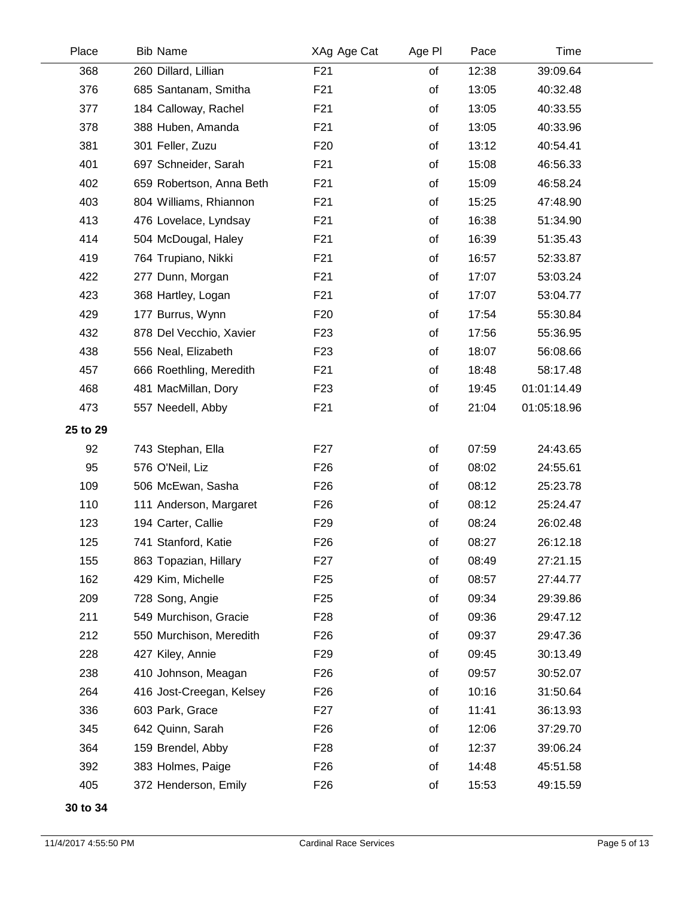| Place    | <b>Bib Name</b>          | XAg Age Cat     | Age PI | Pace  | Time        |  |
|----------|--------------------------|-----------------|--------|-------|-------------|--|
| 368      | 260 Dillard, Lillian     | F21             | of     | 12:38 | 39:09.64    |  |
| 376      | 685 Santanam, Smitha     | F21             | of     | 13:05 | 40:32.48    |  |
| 377      | 184 Calloway, Rachel     | F21             | of     | 13:05 | 40:33.55    |  |
| 378      | 388 Huben, Amanda        | F <sub>21</sub> | of     | 13:05 | 40:33.96    |  |
| 381      | 301 Feller, Zuzu         | F <sub>20</sub> | of     | 13:12 | 40:54.41    |  |
| 401      | 697 Schneider, Sarah     | F <sub>21</sub> | of     | 15:08 | 46:56.33    |  |
| 402      | 659 Robertson, Anna Beth | F <sub>21</sub> | of     | 15:09 | 46:58.24    |  |
| 403      | 804 Williams, Rhiannon   | F <sub>21</sub> | of     | 15:25 | 47:48.90    |  |
| 413      | 476 Lovelace, Lyndsay    | F <sub>21</sub> | of     | 16:38 | 51:34.90    |  |
| 414      | 504 McDougal, Haley      | F <sub>21</sub> | of     | 16:39 | 51:35.43    |  |
| 419      | 764 Trupiano, Nikki      | F <sub>21</sub> | of     | 16:57 | 52:33.87    |  |
| 422      | 277 Dunn, Morgan         | F <sub>21</sub> | of     | 17:07 | 53:03.24    |  |
| 423      | 368 Hartley, Logan       | F <sub>21</sub> | of     | 17:07 | 53:04.77    |  |
| 429      | 177 Burrus, Wynn         | F <sub>20</sub> | of     | 17:54 | 55:30.84    |  |
| 432      | 878 Del Vecchio, Xavier  | F <sub>23</sub> | of     | 17:56 | 55:36.95    |  |
| 438      | 556 Neal, Elizabeth      | F <sub>23</sub> | of     | 18:07 | 56:08.66    |  |
| 457      | 666 Roethling, Meredith  | F <sub>21</sub> | of     | 18:48 | 58:17.48    |  |
| 468      | 481 MacMillan, Dory      | F <sub>23</sub> | of     | 19:45 | 01:01:14.49 |  |
| 473      | 557 Needell, Abby        | F <sub>21</sub> | of     | 21:04 | 01:05:18.96 |  |
| 25 to 29 |                          |                 |        |       |             |  |
| 92       | 743 Stephan, Ella        | F <sub>27</sub> | of     | 07:59 | 24:43.65    |  |
| 95       | 576 O'Neil, Liz          | F <sub>26</sub> | of     | 08:02 | 24:55.61    |  |
| 109      | 506 McEwan, Sasha        | F <sub>26</sub> | of     | 08:12 | 25:23.78    |  |
| 110      | 111 Anderson, Margaret   | F <sub>26</sub> | of     | 08:12 | 25:24.47    |  |
| 123      | 194 Carter, Callie       | F <sub>29</sub> | of     | 08:24 | 26:02.48    |  |
| 125      | 741 Stanford, Katie      | F <sub>26</sub> | of     | 08:27 | 26:12.18    |  |
| 155      | 863 Topazian, Hillary    | F <sub>27</sub> | of     | 08:49 | 27:21.15    |  |
| 162      | 429 Kim, Michelle        | F <sub>25</sub> | of     | 08:57 | 27:44.77    |  |
| 209      | 728 Song, Angie          | F <sub>25</sub> | of     | 09:34 | 29:39.86    |  |
| 211      | 549 Murchison, Gracie    | F <sub>28</sub> | of     | 09:36 | 29:47.12    |  |
| 212      | 550 Murchison, Meredith  | F <sub>26</sub> | of     | 09:37 | 29:47.36    |  |
| 228      | 427 Kiley, Annie         | F <sub>29</sub> | of     | 09:45 | 30:13.49    |  |
| 238      | 410 Johnson, Meagan      | F <sub>26</sub> | of     | 09:57 | 30:52.07    |  |
| 264      | 416 Jost-Creegan, Kelsey | F <sub>26</sub> | of     | 10:16 | 31:50.64    |  |
| 336      | 603 Park, Grace          | F <sub>27</sub> | of     | 11:41 | 36:13.93    |  |
| 345      | 642 Quinn, Sarah         | F <sub>26</sub> | of     | 12:06 | 37:29.70    |  |
| 364      | 159 Brendel, Abby        | F <sub>28</sub> | οf     | 12:37 | 39:06.24    |  |
| 392      | 383 Holmes, Paige        | F <sub>26</sub> | of     | 14:48 | 45:51.58    |  |
| 405      | 372 Henderson, Emily     | F <sub>26</sub> | of     | 15:53 | 49:15.59    |  |
|          |                          |                 |        |       |             |  |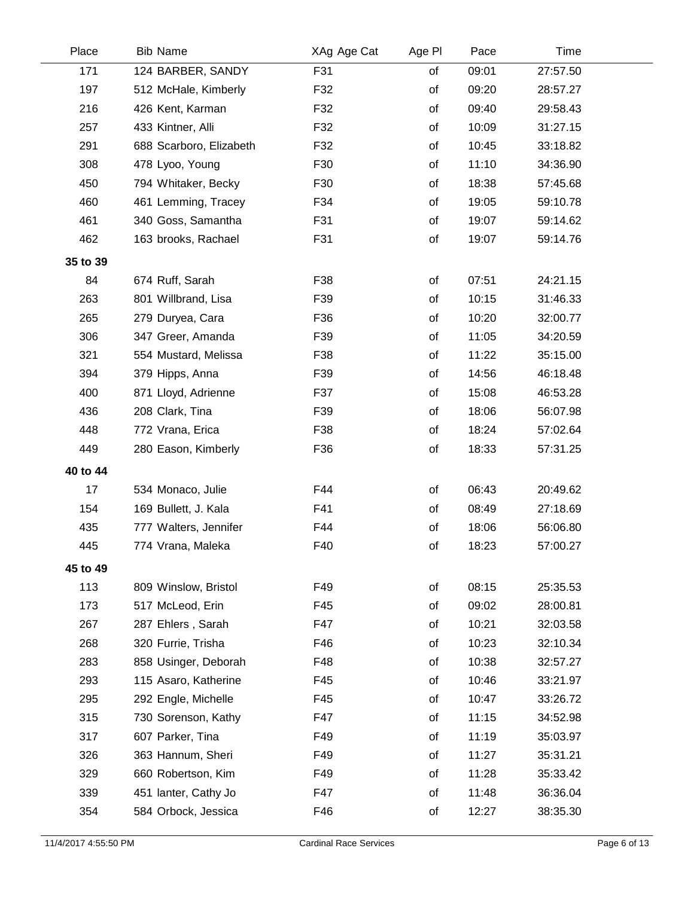| Place    | <b>Bib Name</b>         | XAg Age Cat | Age PI | Pace  | Time     |  |
|----------|-------------------------|-------------|--------|-------|----------|--|
| 171      | 124 BARBER, SANDY       | F31         | of     | 09:01 | 27:57.50 |  |
| 197      | 512 McHale, Kimberly    | F32         | of     | 09:20 | 28:57.27 |  |
| 216      | 426 Kent, Karman        | F32         | οf     | 09:40 | 29:58.43 |  |
| 257      | 433 Kintner, Alli       | F32         | of     | 10:09 | 31:27.15 |  |
| 291      | 688 Scarboro, Elizabeth | F32         | of     | 10:45 | 33:18.82 |  |
| 308      | 478 Lyoo, Young         | F30         | of     | 11:10 | 34:36.90 |  |
| 450      | 794 Whitaker, Becky     | F30         | of     | 18:38 | 57:45.68 |  |
| 460      | 461 Lemming, Tracey     | F34         | of     | 19:05 | 59:10.78 |  |
| 461      | 340 Goss, Samantha      | F31         | of     | 19:07 | 59:14.62 |  |
| 462      | 163 brooks, Rachael     | F31         | of     | 19:07 | 59:14.76 |  |
| 35 to 39 |                         |             |        |       |          |  |
| 84       | 674 Ruff, Sarah         | F38         | of     | 07:51 | 24:21.15 |  |
| 263      | 801 Willbrand, Lisa     | F39         | of     | 10:15 | 31:46.33 |  |
| 265      | 279 Duryea, Cara        | F36         | of     | 10:20 | 32:00.77 |  |
| 306      | 347 Greer, Amanda       | F39         | of     | 11:05 | 34:20.59 |  |
| 321      | 554 Mustard, Melissa    | F38         | of     | 11:22 | 35:15.00 |  |
| 394      | 379 Hipps, Anna         | F39         | of     | 14:56 | 46:18.48 |  |
| 400      | 871 Lloyd, Adrienne     | F37         | of     | 15:08 | 46:53.28 |  |
| 436      | 208 Clark, Tina         | F39         | of     | 18:06 | 56:07.98 |  |
| 448      | 772 Vrana, Erica        | F38         | of     | 18:24 | 57:02.64 |  |
| 449      | 280 Eason, Kimberly     | F36         | of     | 18:33 | 57:31.25 |  |
| 40 to 44 |                         |             |        |       |          |  |
| 17       | 534 Monaco, Julie       | F44         | of     | 06:43 | 20:49.62 |  |
| 154      | 169 Bullett, J. Kala    | F41         | of     | 08:49 | 27:18.69 |  |
| 435      | 777 Walters, Jennifer   | F44         | of     | 18:06 | 56:06.80 |  |
| 445      | 774 Vrana, Maleka       | F40         | of     | 18:23 | 57:00.27 |  |
| 45 to 49 |                         |             |        |       |          |  |
| 113      | 809 Winslow, Bristol    | F49         | of     | 08:15 | 25:35.53 |  |
| 173      | 517 McLeod, Erin        | F45         | of     | 09:02 | 28:00.81 |  |
| 267      | 287 Ehlers, Sarah       | F47         | of     | 10:21 | 32:03.58 |  |
| 268      | 320 Furrie, Trisha      | F46         | οf     | 10:23 | 32:10.34 |  |
| 283      | 858 Usinger, Deborah    | F48         | of     | 10:38 | 32:57.27 |  |
| 293      | 115 Asaro, Katherine    | F45         | of     | 10:46 | 33:21.97 |  |
| 295      | 292 Engle, Michelle     | F45         | οf     | 10:47 | 33:26.72 |  |
| 315      | 730 Sorenson, Kathy     | F47         | of     | 11:15 | 34:52.98 |  |
| 317      | 607 Parker, Tina        | F49         | of     | 11:19 | 35:03.97 |  |
| 326      | 363 Hannum, Sheri       | F49         | of     | 11:27 | 35:31.21 |  |
| 329      | 660 Robertson, Kim      | F49         | οf     | 11:28 | 35:33.42 |  |
| 339      | 451 lanter, Cathy Jo    | F47         | οf     | 11:48 | 36:36.04 |  |
| 354      | 584 Orbock, Jessica     | F46         | of     | 12:27 | 38:35.30 |  |
|          |                         |             |        |       |          |  |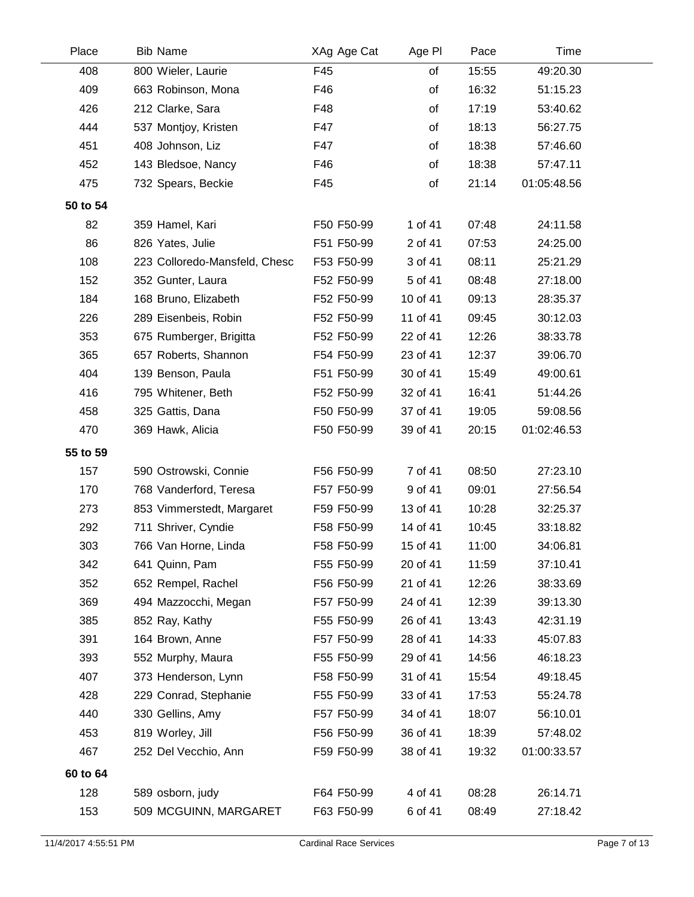| Place    | <b>Bib Name</b>               | XAg Age Cat | Age PI   | Pace  | Time        |  |
|----------|-------------------------------|-------------|----------|-------|-------------|--|
| 408      | 800 Wieler, Laurie            | F45         | of       | 15:55 | 49:20.30    |  |
| 409      | 663 Robinson, Mona            | F46         | of       | 16:32 | 51:15.23    |  |
| 426      | 212 Clarke, Sara              | F48         | of       | 17:19 | 53:40.62    |  |
| 444      | 537 Montjoy, Kristen          | F47         | of       | 18:13 | 56:27.75    |  |
| 451      | 408 Johnson, Liz              | F47         | of       | 18:38 | 57:46.60    |  |
| 452      | 143 Bledsoe, Nancy            | F46         | of       | 18:38 | 57:47.11    |  |
| 475      | 732 Spears, Beckie            | F45         | of       | 21:14 | 01:05:48.56 |  |
| 50 to 54 |                               |             |          |       |             |  |
| 82       | 359 Hamel, Kari               | F50 F50-99  | 1 of 41  | 07:48 | 24:11.58    |  |
| 86       | 826 Yates, Julie              | F51 F50-99  | 2 of 41  | 07:53 | 24:25.00    |  |
| 108      | 223 Colloredo-Mansfeld, Chesc | F53 F50-99  | 3 of 41  | 08:11 | 25:21.29    |  |
| 152      | 352 Gunter, Laura             | F52 F50-99  | 5 of 41  | 08:48 | 27:18.00    |  |
| 184      | 168 Bruno, Elizabeth          | F52 F50-99  | 10 of 41 | 09:13 | 28:35.37    |  |
| 226      | 289 Eisenbeis, Robin          | F52 F50-99  | 11 of 41 | 09:45 | 30:12.03    |  |
| 353      | 675 Rumberger, Brigitta       | F52 F50-99  | 22 of 41 | 12:26 | 38:33.78    |  |
| 365      | 657 Roberts, Shannon          | F54 F50-99  | 23 of 41 | 12:37 | 39:06.70    |  |
| 404      | 139 Benson, Paula             | F51 F50-99  | 30 of 41 | 15:49 | 49:00.61    |  |
| 416      | 795 Whitener, Beth            | F52 F50-99  | 32 of 41 | 16:41 | 51:44.26    |  |
| 458      | 325 Gattis, Dana              | F50 F50-99  | 37 of 41 | 19:05 | 59:08.56    |  |
| 470      | 369 Hawk, Alicia              | F50 F50-99  | 39 of 41 | 20:15 | 01:02:46.53 |  |
| 55 to 59 |                               |             |          |       |             |  |
| 157      | 590 Ostrowski, Connie         | F56 F50-99  | 7 of 41  | 08:50 | 27:23.10    |  |
| 170      | 768 Vanderford, Teresa        | F57 F50-99  | 9 of 41  | 09:01 | 27:56.54    |  |
| 273      | 853 Vimmerstedt, Margaret     | F59 F50-99  | 13 of 41 | 10:28 | 32:25.37    |  |
| 292      | 711 Shriver, Cyndie           | F58 F50-99  | 14 of 41 | 10:45 | 33:18.82    |  |
| 303      | 766 Van Horne, Linda          | F58 F50-99  | 15 of 41 | 11:00 | 34:06.81    |  |
| 342      | 641 Quinn, Pam                | F55 F50-99  | 20 of 41 | 11:59 | 37:10.41    |  |
| 352      | 652 Rempel, Rachel            | F56 F50-99  | 21 of 41 | 12:26 | 38:33.69    |  |
| 369      | 494 Mazzocchi, Megan          | F57 F50-99  | 24 of 41 | 12:39 | 39:13.30    |  |
| 385      | 852 Ray, Kathy                | F55 F50-99  | 26 of 41 | 13:43 | 42:31.19    |  |
| 391      | 164 Brown, Anne               | F57 F50-99  | 28 of 41 | 14:33 | 45:07.83    |  |
| 393      | 552 Murphy, Maura             | F55 F50-99  | 29 of 41 | 14:56 | 46:18.23    |  |
| 407      | 373 Henderson, Lynn           | F58 F50-99  | 31 of 41 | 15:54 | 49:18.45    |  |
| 428      | 229 Conrad, Stephanie         | F55 F50-99  | 33 of 41 | 17:53 | 55:24.78    |  |
| 440      | 330 Gellins, Amy              | F57 F50-99  | 34 of 41 | 18:07 | 56:10.01    |  |
| 453      | 819 Worley, Jill              | F56 F50-99  | 36 of 41 | 18:39 | 57:48.02    |  |
| 467      | 252 Del Vecchio, Ann          | F59 F50-99  | 38 of 41 | 19:32 | 01:00:33.57 |  |
| 60 to 64 |                               |             |          |       |             |  |
| 128      | 589 osborn, judy              | F64 F50-99  | 4 of 41  | 08:28 | 26:14.71    |  |
| 153      | 509 MCGUINN, MARGARET         | F63 F50-99  | 6 of 41  | 08:49 | 27:18.42    |  |
|          |                               |             |          |       |             |  |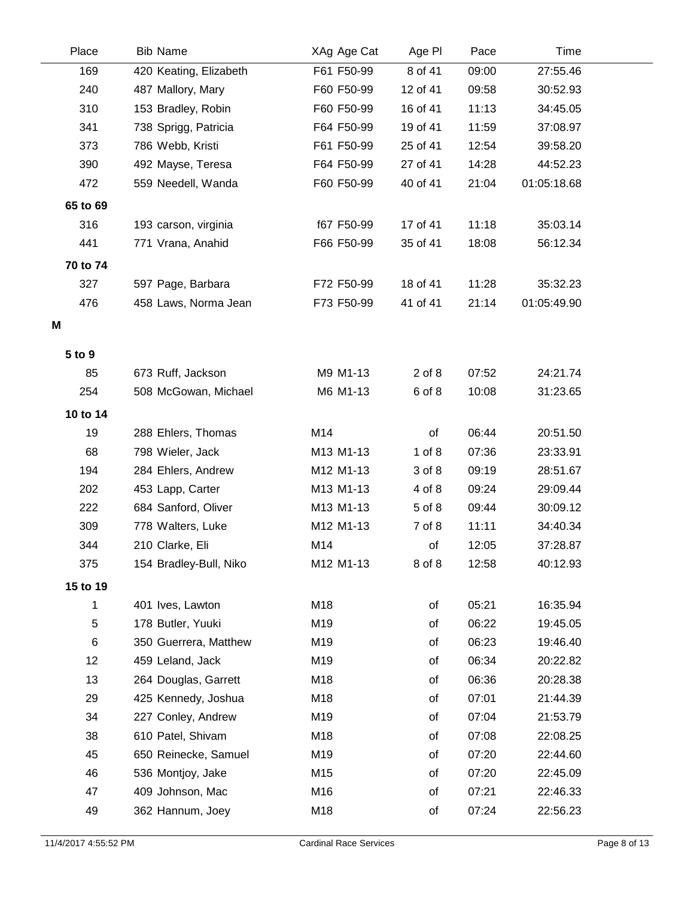| Place    | <b>Bib Name</b>        | XAg Age Cat | Age PI     | Pace  | Time        |  |
|----------|------------------------|-------------|------------|-------|-------------|--|
| 169      | 420 Keating, Elizabeth | F61 F50-99  | 8 of 41    | 09:00 | 27:55.46    |  |
| 240      | 487 Mallory, Mary      | F60 F50-99  | 12 of 41   | 09:58 | 30:52.93    |  |
| 310      | 153 Bradley, Robin     | F60 F50-99  | 16 of 41   | 11:13 | 34:45.05    |  |
| 341      | 738 Sprigg, Patricia   | F64 F50-99  | 19 of 41   | 11:59 | 37:08.97    |  |
| 373      | 786 Webb, Kristi       | F61 F50-99  | 25 of 41   | 12:54 | 39:58.20    |  |
| 390      | 492 Mayse, Teresa      | F64 F50-99  | 27 of 41   | 14:28 | 44:52.23    |  |
| 472      | 559 Needell, Wanda     | F60 F50-99  | 40 of 41   | 21:04 | 01:05:18.68 |  |
| 65 to 69 |                        |             |            |       |             |  |
| 316      | 193 carson, virginia   | f67 F50-99  | 17 of 41   | 11:18 | 35:03.14    |  |
| 441      | 771 Vrana, Anahid      | F66 F50-99  | 35 of 41   | 18:08 | 56:12.34    |  |
| 70 to 74 |                        |             |            |       |             |  |
| 327      | 597 Page, Barbara      | F72 F50-99  | 18 of 41   | 11:28 | 35:32.23    |  |
| 476      | 458 Laws, Norma Jean   | F73 F50-99  | 41 of 41   | 21:14 | 01:05:49.90 |  |
| Μ        |                        |             |            |       |             |  |
|          |                        |             |            |       |             |  |
| 5 to 9   |                        |             |            |       |             |  |
| 85       | 673 Ruff, Jackson      | M9 M1-13    | $2$ of $8$ | 07:52 | 24:21.74    |  |
| 254      | 508 McGowan, Michael   | M6 M1-13    | 6 of 8     | 10:08 | 31:23.65    |  |
| 10 to 14 |                        |             |            |       |             |  |
| 19       | 288 Ehlers, Thomas     | M14         | of         | 06:44 | 20:51.50    |  |
| 68       | 798 Wieler, Jack       | M13 M1-13   | $1$ of $8$ | 07:36 | 23:33.91    |  |
| 194      | 284 Ehlers, Andrew     | M12 M1-13   | 3 of 8     | 09:19 | 28:51.67    |  |
| 202      | 453 Lapp, Carter       | M13 M1-13   | 4 of 8     | 09:24 | 29:09.44    |  |
| 222      | 684 Sanford, Oliver    | M13 M1-13   | 5 of 8     | 09:44 | 30:09.12    |  |
| 309      | 778 Walters, Luke      | M12 M1-13   | 7 of 8     | 11:11 | 34:40.34    |  |
| 344      | 210 Clarke, Eli        | M14         | of         | 12:05 | 37:28.87    |  |
| 375      | 154 Bradley-Bull, Niko | M12 M1-13   | 8 of 8     | 12:58 | 40:12.93    |  |
| 15 to 19 |                        |             |            |       |             |  |
| 1        | 401 Ives, Lawton       | M18         | of         | 05:21 | 16:35.94    |  |
| 5        | 178 Butler, Yuuki      | M19         | of         | 06:22 | 19:45.05    |  |
| $\,6$    | 350 Guerrera, Matthew  | M19         | of         | 06:23 | 19:46.40    |  |
| 12       | 459 Leland, Jack       | M19         | of         | 06:34 | 20:22.82    |  |
| 13       | 264 Douglas, Garrett   | M18         | of         | 06:36 | 20:28.38    |  |
| 29       | 425 Kennedy, Joshua    | M18         | of         | 07:01 | 21:44.39    |  |
| 34       | 227 Conley, Andrew     | M19         | of         | 07:04 | 21:53.79    |  |
| 38       | 610 Patel, Shivam      | M18         | of         | 07:08 | 22:08.25    |  |
| 45       | 650 Reinecke, Samuel   | M19         | of         | 07:20 | 22:44.60    |  |
| 46       | 536 Montjoy, Jake      | M15         | of         | 07:20 | 22:45.09    |  |
| 47       | 409 Johnson, Mac       | M16         | of         | 07:21 | 22:46.33    |  |
| 49       | 362 Hannum, Joey       | M18         | of         | 07:24 | 22:56.23    |  |
|          |                        |             |            |       |             |  |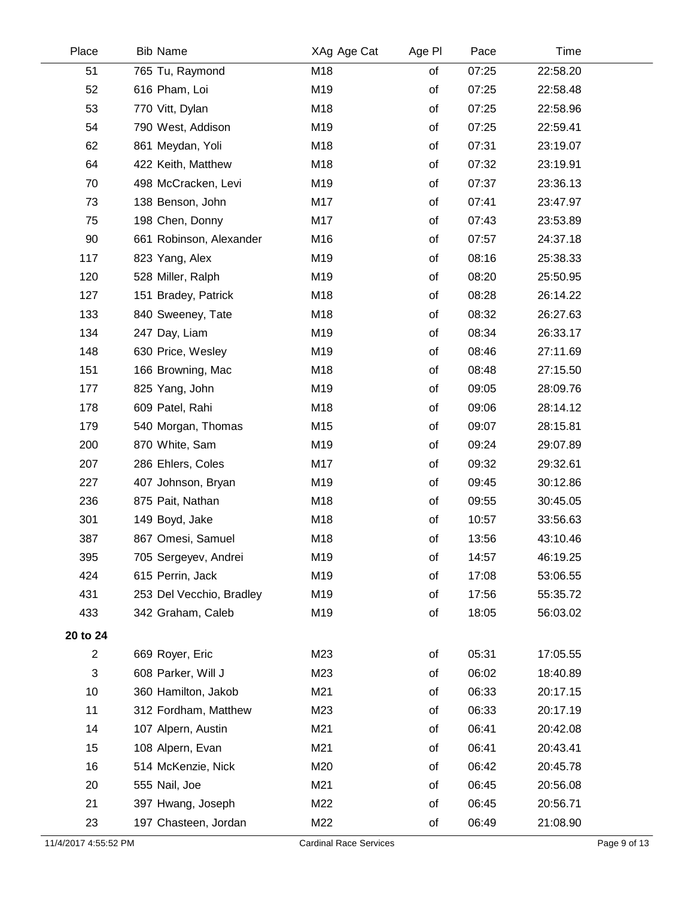| Place                | <b>Bib Name</b>          | XAg Age Cat                   | Age PI | Pace  | Time     |              |
|----------------------|--------------------------|-------------------------------|--------|-------|----------|--------------|
| 51                   | 765 Tu, Raymond          | M18                           | of     | 07:25 | 22:58.20 |              |
| 52                   | 616 Pham, Loi            | M19                           | of     | 07:25 | 22:58.48 |              |
| 53                   | 770 Vitt, Dylan          | M18                           | of     | 07:25 | 22:58.96 |              |
| 54                   | 790 West, Addison        | M19                           | of     | 07:25 | 22:59.41 |              |
| 62                   | 861 Meydan, Yoli         | M18                           | of     | 07:31 | 23:19.07 |              |
| 64                   | 422 Keith, Matthew       | M18                           | of     | 07:32 | 23:19.91 |              |
| 70                   | 498 McCracken, Levi      | M19                           | of     | 07:37 | 23:36.13 |              |
| 73                   | 138 Benson, John         | M17                           | of     | 07:41 | 23:47.97 |              |
| 75                   | 198 Chen, Donny          | M17                           | of     | 07:43 | 23:53.89 |              |
| 90                   | 661 Robinson, Alexander  | M16                           | of     | 07:57 | 24:37.18 |              |
| 117                  | 823 Yang, Alex           | M19                           | of     | 08:16 | 25:38.33 |              |
| 120                  | 528 Miller, Ralph        | M19                           | of     | 08:20 | 25:50.95 |              |
| 127                  | 151 Bradey, Patrick      | M18                           | of     | 08:28 | 26:14.22 |              |
| 133                  | 840 Sweeney, Tate        | M18                           | of     | 08:32 | 26:27.63 |              |
| 134                  | 247 Day, Liam            | M19                           | of     | 08:34 | 26:33.17 |              |
| 148                  | 630 Price, Wesley        | M19                           | of     | 08:46 | 27:11.69 |              |
| 151                  | 166 Browning, Mac        | M18                           | of     | 08:48 | 27:15.50 |              |
| 177                  | 825 Yang, John           | M19                           | of     | 09:05 | 28:09.76 |              |
| 178                  | 609 Patel, Rahi          | M18                           | of     | 09:06 | 28:14.12 |              |
| 179                  | 540 Morgan, Thomas       | M15                           | of     | 09:07 | 28:15.81 |              |
| 200                  | 870 White, Sam           | M19                           | of     | 09:24 | 29:07.89 |              |
| 207                  | 286 Ehlers, Coles        | M17                           | of     | 09:32 | 29:32.61 |              |
| 227                  | 407 Johnson, Bryan       | M19                           | of     | 09:45 | 30:12.86 |              |
| 236                  | 875 Pait, Nathan         | M18                           | of     | 09:55 | 30:45.05 |              |
| 301                  | 149 Boyd, Jake           | M18                           | of     | 10:57 | 33:56.63 |              |
| 387                  | 867 Omesi, Samuel        | M18                           | of     | 13:56 | 43:10.46 |              |
| 395                  | 705 Sergeyev, Andrei     | M19                           | of     | 14:57 | 46:19.25 |              |
| 424                  | 615 Perrin, Jack         | M19                           | of     | 17:08 | 53:06.55 |              |
| 431                  | 253 Del Vecchio, Bradley | M19                           | of     | 17:56 | 55:35.72 |              |
| 433                  | 342 Graham, Caleb        | M19                           | of     | 18:05 | 56:03.02 |              |
| 20 to 24             |                          |                               |        |       |          |              |
| $\overline{2}$       | 669 Royer, Eric          | M23                           | of     | 05:31 | 17:05.55 |              |
| 3                    | 608 Parker, Will J       | M23                           | of     | 06:02 | 18:40.89 |              |
| 10                   | 360 Hamilton, Jakob      | M21                           | of     | 06:33 | 20:17.15 |              |
| 11                   | 312 Fordham, Matthew     | M23                           | of     | 06:33 | 20:17.19 |              |
| 14                   | 107 Alpern, Austin       | M21                           | of     | 06:41 | 20:42.08 |              |
| 15                   | 108 Alpern, Evan         | M21                           | of     | 06:41 | 20:43.41 |              |
| 16                   | 514 McKenzie, Nick       | M20                           | of     | 06:42 | 20:45.78 |              |
| 20                   | 555 Nail, Joe            | M21                           | of     | 06:45 | 20:56.08 |              |
| 21                   | 397 Hwang, Joseph        | M22                           | of     | 06:45 | 20:56.71 |              |
| 23                   | 197 Chasteen, Jordan     | M22                           | of     | 06:49 | 21:08.90 |              |
| 11/4/2017 4:55:52 PM |                          | <b>Cardinal Race Services</b> |        |       |          | Page 9 of 13 |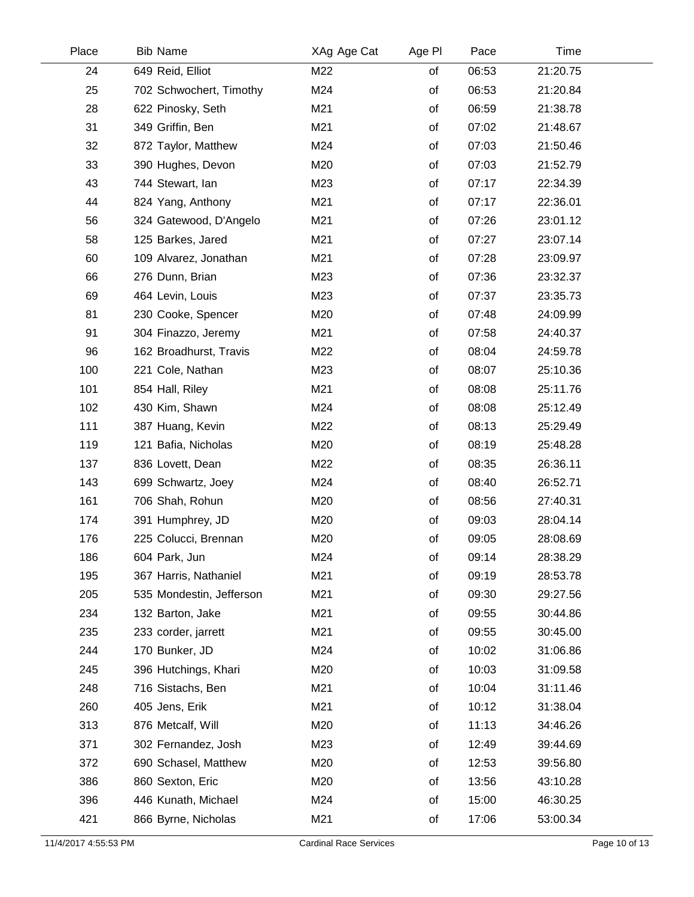| Place | <b>Bib Name</b>          | XAg Age Cat | Age PI | Pace  | Time     |  |
|-------|--------------------------|-------------|--------|-------|----------|--|
| 24    | 649 Reid, Elliot         | M22         | of     | 06:53 | 21:20.75 |  |
| 25    | 702 Schwochert, Timothy  | M24         | of     | 06:53 | 21:20.84 |  |
| 28    | 622 Pinosky, Seth        | M21         | of     | 06:59 | 21:38.78 |  |
| 31    | 349 Griffin, Ben         | M21         | of     | 07:02 | 21:48.67 |  |
| 32    | 872 Taylor, Matthew      | M24         | of     | 07:03 | 21:50.46 |  |
| 33    | 390 Hughes, Devon        | M20         | of     | 07:03 | 21:52.79 |  |
| 43    | 744 Stewart, Ian         | M23         | of     | 07:17 | 22:34.39 |  |
| 44    | 824 Yang, Anthony        | M21         | of     | 07:17 | 22:36.01 |  |
| 56    | 324 Gatewood, D'Angelo   | M21         | of     | 07:26 | 23:01.12 |  |
| 58    | 125 Barkes, Jared        | M21         | of     | 07:27 | 23:07.14 |  |
| 60    | 109 Alvarez, Jonathan    | M21         | of     | 07:28 | 23:09.97 |  |
| 66    | 276 Dunn, Brian          | M23         | of     | 07:36 | 23:32.37 |  |
| 69    | 464 Levin, Louis         | M23         | of     | 07:37 | 23:35.73 |  |
| 81    | 230 Cooke, Spencer       | M20         | of     | 07:48 | 24:09.99 |  |
| 91    | 304 Finazzo, Jeremy      | M21         | of     | 07:58 | 24:40.37 |  |
| 96    | 162 Broadhurst, Travis   | M22         | of     | 08:04 | 24:59.78 |  |
| 100   | 221 Cole, Nathan         | M23         | of     | 08:07 | 25:10.36 |  |
| 101   | 854 Hall, Riley          | M21         | of     | 08:08 | 25:11.76 |  |
| 102   | 430 Kim, Shawn           | M24         | of     | 08:08 | 25:12.49 |  |
| 111   | 387 Huang, Kevin         | M22         | of     | 08:13 | 25:29.49 |  |
| 119   | 121 Bafia, Nicholas      | M20         | of     | 08:19 | 25:48.28 |  |
| 137   | 836 Lovett, Dean         | M22         | of     | 08:35 | 26:36.11 |  |
| 143   | 699 Schwartz, Joey       | M24         | of     | 08:40 | 26:52.71 |  |
| 161   | 706 Shah, Rohun          | M20         | of     | 08:56 | 27:40.31 |  |
| 174   | 391 Humphrey, JD         | M20         | of     | 09:03 | 28:04.14 |  |
| 176   | 225 Colucci, Brennan     | M20         | of     | 09:05 | 28:08.69 |  |
| 186   | 604 Park, Jun            | M24         | οf     | 09:14 | 28:38.29 |  |
| 195   | 367 Harris, Nathaniel    | M21         | of     | 09:19 | 28:53.78 |  |
| 205   | 535 Mondestin, Jefferson | M21         | of     | 09:30 | 29:27.56 |  |
| 234   | 132 Barton, Jake         | M21         | of     | 09:55 | 30:44.86 |  |
| 235   | 233 corder, jarrett      | M21         | of     | 09:55 | 30:45.00 |  |
| 244   | 170 Bunker, JD           | M24         | of     | 10:02 | 31:06.86 |  |
| 245   | 396 Hutchings, Khari     | M20         | of     | 10:03 | 31:09.58 |  |
| 248   | 716 Sistachs, Ben        | M21         | of     | 10:04 | 31:11.46 |  |
| 260   | 405 Jens, Erik           | M21         | of     | 10:12 | 31:38.04 |  |
| 313   | 876 Metcalf, Will        | M20         | of     | 11:13 | 34:46.26 |  |
| 371   | 302 Fernandez, Josh      | M23         | of     | 12:49 | 39:44.69 |  |
| 372   | 690 Schasel, Matthew     | M20         | of     | 12:53 | 39:56.80 |  |
| 386   | 860 Sexton, Eric         | M20         | of     | 13:56 | 43:10.28 |  |
| 396   | 446 Kunath, Michael      | M24         | of     | 15:00 | 46:30.25 |  |
| 421   | 866 Byrne, Nicholas      | M21         | of     | 17:06 | 53:00.34 |  |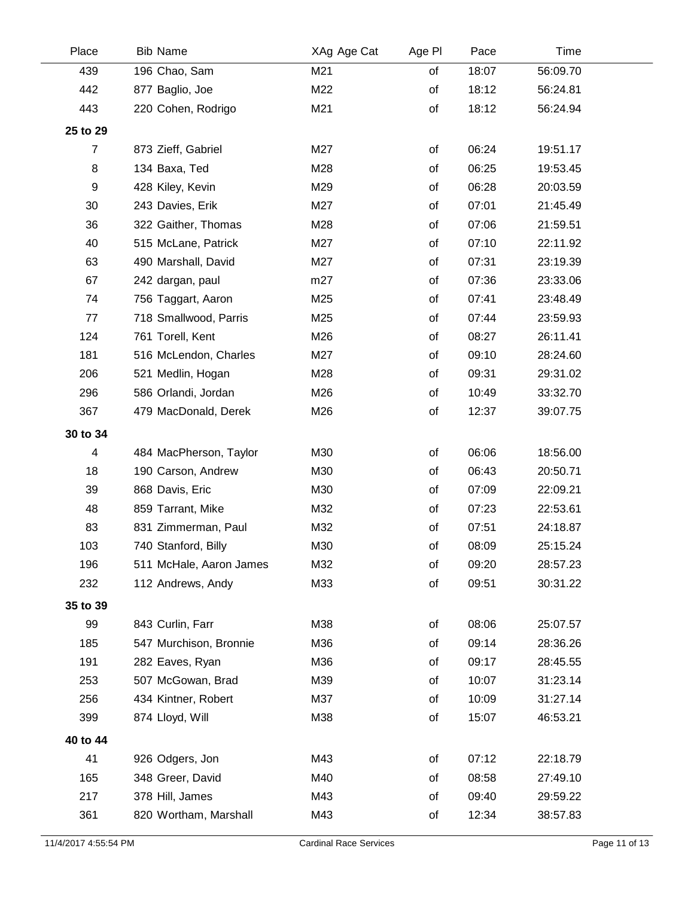| Place            | <b>Bib Name</b>         | XAg Age Cat | Age PI | Pace  | Time     |  |
|------------------|-------------------------|-------------|--------|-------|----------|--|
| 439              | 196 Chao, Sam           | M21         | of     | 18:07 | 56:09.70 |  |
| 442              | 877 Baglio, Joe         | M22         | of     | 18:12 | 56:24.81 |  |
| 443              | 220 Cohen, Rodrigo      | M21         | of     | 18:12 | 56:24.94 |  |
| 25 to 29         |                         |             |        |       |          |  |
| $\boldsymbol{7}$ | 873 Zieff, Gabriel      | M27         | of     | 06:24 | 19:51.17 |  |
| 8                | 134 Baxa, Ted           | M28         | of     | 06:25 | 19:53.45 |  |
| 9                | 428 Kiley, Kevin        | M29         | of     | 06:28 | 20:03.59 |  |
| 30               | 243 Davies, Erik        | M27         | of     | 07:01 | 21:45.49 |  |
| 36               | 322 Gaither, Thomas     | M28         | of     | 07:06 | 21:59.51 |  |
| 40               | 515 McLane, Patrick     | M27         | of     | 07:10 | 22:11.92 |  |
| 63               | 490 Marshall, David     | M27         | of     | 07:31 | 23:19.39 |  |
| 67               | 242 dargan, paul        | m27         | of     | 07:36 | 23:33.06 |  |
| 74               | 756 Taggart, Aaron      | M25         | of     | 07:41 | 23:48.49 |  |
| 77               | 718 Smallwood, Parris   | M25         | of     | 07:44 | 23:59.93 |  |
| 124              | 761 Torell, Kent        | M26         | of     | 08:27 | 26:11.41 |  |
| 181              | 516 McLendon, Charles   | M27         | of     | 09:10 | 28:24.60 |  |
| 206              | 521 Medlin, Hogan       | M28         | of     | 09:31 | 29:31.02 |  |
| 296              | 586 Orlandi, Jordan     | M26         | of     | 10:49 | 33:32.70 |  |
| 367              | 479 MacDonald, Derek    | M26         | of     | 12:37 | 39:07.75 |  |
| 30 to 34         |                         |             |        |       |          |  |
| 4                | 484 MacPherson, Taylor  | M30         | of     | 06:06 | 18:56.00 |  |
| 18               | 190 Carson, Andrew      | M30         | of     | 06:43 | 20:50.71 |  |
| 39               | 868 Davis, Eric         | M30         | of     | 07:09 | 22:09.21 |  |
| 48               | 859 Tarrant, Mike       | M32         | of     | 07:23 | 22:53.61 |  |
| 83               | 831 Zimmerman, Paul     | M32         | of     | 07:51 | 24:18.87 |  |
| 103              | 740 Stanford, Billy     | M30         | of     | 08:09 | 25:15.24 |  |
| 196              | 511 McHale, Aaron James | M32         | of     | 09:20 | 28:57.23 |  |
| 232              | 112 Andrews, Andy       | M33         | of     | 09:51 | 30:31.22 |  |
| 35 to 39         |                         |             |        |       |          |  |
| 99               | 843 Curlin, Farr        | M38         | of     | 08:06 | 25:07.57 |  |
| 185              | 547 Murchison, Bronnie  | M36         | of     | 09:14 | 28:36.26 |  |
| 191              | 282 Eaves, Ryan         | M36         | of     | 09:17 | 28:45.55 |  |
| 253              | 507 McGowan, Brad       | M39         | of     | 10:07 | 31:23.14 |  |
| 256              | 434 Kintner, Robert     | M37         | of     | 10:09 | 31:27.14 |  |
| 399              | 874 Lloyd, Will         | M38         | of     | 15:07 | 46:53.21 |  |
| 40 to 44         |                         |             |        |       |          |  |
| 41               | 926 Odgers, Jon         | M43         | of     | 07:12 | 22:18.79 |  |
| 165              | 348 Greer, David        | M40         | of     | 08:58 | 27:49.10 |  |
| 217              | 378 Hill, James         | M43         | of     | 09:40 | 29:59.22 |  |
| 361              | 820 Wortham, Marshall   | M43         | of     | 12:34 | 38:57.83 |  |
|                  |                         |             |        |       |          |  |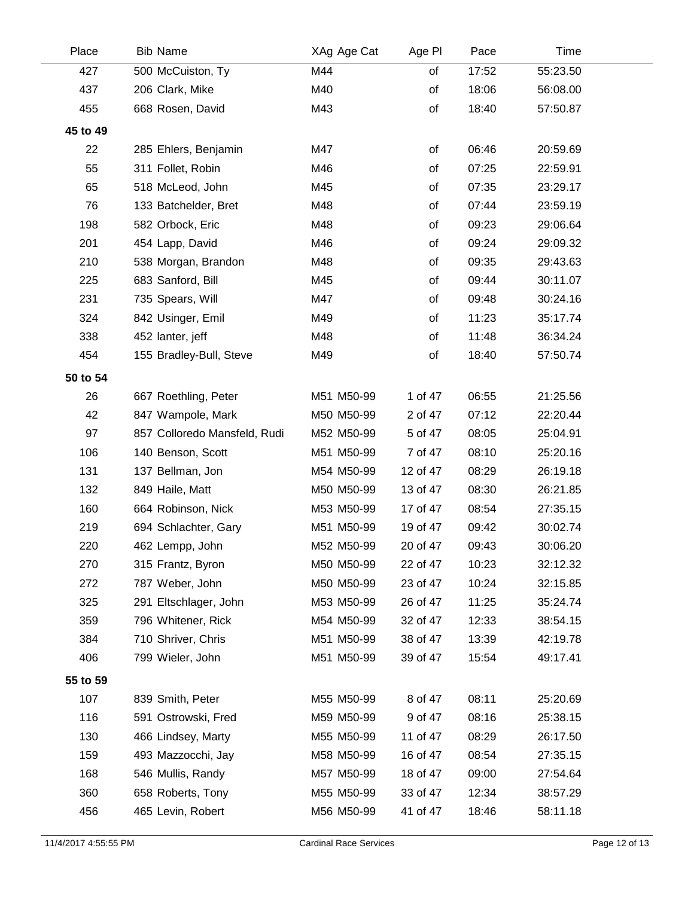| Place    | <b>Bib Name</b>              | XAg Age Cat | Age PI   | Pace  | Time     |  |
|----------|------------------------------|-------------|----------|-------|----------|--|
| 427      | 500 McCuiston, Ty            | M44         | of       | 17:52 | 55:23.50 |  |
| 437      | 206 Clark, Mike              | M40         | of       | 18:06 | 56:08.00 |  |
| 455      | 668 Rosen, David             | M43         | of       | 18:40 | 57:50.87 |  |
| 45 to 49 |                              |             |          |       |          |  |
| 22       | 285 Ehlers, Benjamin         | M47         | of       | 06:46 | 20:59.69 |  |
| 55       | 311 Follet, Robin            | M46         | of       | 07:25 | 22:59.91 |  |
| 65       | 518 McLeod, John             | M45         | of       | 07:35 | 23:29.17 |  |
| 76       | 133 Batchelder, Bret         | M48         | of       | 07:44 | 23:59.19 |  |
| 198      | 582 Orbock, Eric             | M48         | of       | 09:23 | 29:06.64 |  |
| 201      | 454 Lapp, David              | M46         | of       | 09:24 | 29:09.32 |  |
| 210      | 538 Morgan, Brandon          | M48         | of       | 09:35 | 29:43.63 |  |
| 225      | 683 Sanford, Bill            | M45         | of       | 09:44 | 30:11.07 |  |
| 231      | 735 Spears, Will             | M47         | of       | 09:48 | 30:24.16 |  |
| 324      | 842 Usinger, Emil            | M49         | of       | 11:23 | 35:17.74 |  |
| 338      | 452 lanter, jeff             | M48         | of       | 11:48 | 36:34.24 |  |
| 454      | 155 Bradley-Bull, Steve      | M49         | of       | 18:40 | 57:50.74 |  |
| 50 to 54 |                              |             |          |       |          |  |
| 26       | 667 Roethling, Peter         | M51 M50-99  | 1 of 47  | 06:55 | 21:25.56 |  |
| 42       | 847 Wampole, Mark            | M50 M50-99  | 2 of 47  | 07:12 | 22:20.44 |  |
| 97       | 857 Colloredo Mansfeld, Rudi | M52 M50-99  | 5 of 47  | 08:05 | 25:04.91 |  |
| 106      | 140 Benson, Scott            | M51 M50-99  | 7 of 47  | 08:10 | 25:20.16 |  |
| 131      | 137 Bellman, Jon             | M54 M50-99  | 12 of 47 | 08:29 | 26:19.18 |  |
| 132      | 849 Haile, Matt              | M50 M50-99  | 13 of 47 | 08:30 | 26:21.85 |  |
| 160      | 664 Robinson, Nick           | M53 M50-99  | 17 of 47 | 08:54 | 27:35.15 |  |
| 219      | 694 Schlachter, Gary         | M51 M50-99  | 19 of 47 | 09:42 | 30:02.74 |  |
| 220      | 462 Lempp, John              | M52 M50-99  | 20 of 47 | 09:43 | 30:06.20 |  |
| 270      | 315 Frantz, Byron            | M50 M50-99  | 22 of 47 | 10:23 | 32:12.32 |  |
| 272      | 787 Weber, John              | M50 M50-99  | 23 of 47 | 10:24 | 32:15.85 |  |
| 325      | 291 Eltschlager, John        | M53 M50-99  | 26 of 47 | 11:25 | 35:24.74 |  |
| 359      | 796 Whitener, Rick           | M54 M50-99  | 32 of 47 | 12:33 | 38:54.15 |  |
| 384      | 710 Shriver, Chris           | M51 M50-99  | 38 of 47 | 13:39 | 42:19.78 |  |
| 406      | 799 Wieler, John             | M51 M50-99  | 39 of 47 | 15:54 | 49:17.41 |  |
| 55 to 59 |                              |             |          |       |          |  |
| 107      | 839 Smith, Peter             | M55 M50-99  | 8 of 47  | 08:11 | 25:20.69 |  |
| 116      | 591 Ostrowski, Fred          | M59 M50-99  | 9 of 47  | 08:16 | 25:38.15 |  |
| 130      | 466 Lindsey, Marty           | M55 M50-99  | 11 of 47 | 08:29 | 26:17.50 |  |
| 159      | 493 Mazzocchi, Jay           | M58 M50-99  | 16 of 47 | 08:54 | 27:35.15 |  |
| 168      | 546 Mullis, Randy            | M57 M50-99  | 18 of 47 | 09:00 | 27:54.64 |  |
| 360      | 658 Roberts, Tony            | M55 M50-99  | 33 of 47 | 12:34 | 38:57.29 |  |
| 456      | 465 Levin, Robert            | M56 M50-99  | 41 of 47 | 18:46 | 58:11.18 |  |